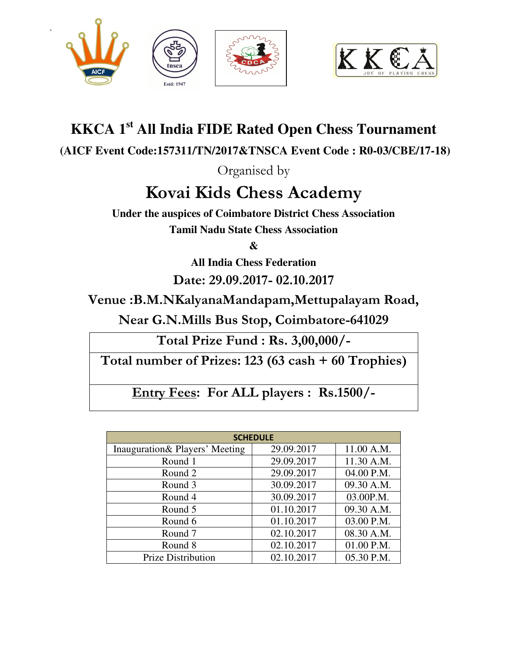



## **KKCA 1st All India FIDE Rated Open Chess Tournament**

 **(AICF Event Code:157311/TN/2017&TNSCA Event Code : R0-03/CBE/17-18)** 

Organised by

# **Kovai Kids Chess Academy**

**Under the auspices of Coimbatore District Chess Association Tamil Nadu State Chess Association** 

**&** 

**All India Chess Federation** 

**Date: 29.09.2017- 02.10.2017** 

**Venue :B.M.NKalyanaMandapam,Mettupalayam Road,** 

**Near G.N.Mills Bus Stop, Coimbatore-641029** 

**Total Prize Fund : Rs. 3,00,000/-** 

**Total number of Prizes: 123 (63 cash + 60 Trophies)**

**Entry Fees: For ALL players : Rs.1500/-** 

| <b>SCHEDULE</b>                 |            |            |  |  |
|---------------------------------|------------|------------|--|--|
| Inauguration & Players' Meeting | 29.09.2017 | 11.00 A.M. |  |  |
| Round 1                         | 29.09.2017 | 11.30 A.M. |  |  |
| Round 2                         | 29.09.2017 | 04.00 P.M. |  |  |
| Round 3                         | 30.09.2017 | 09.30 A.M. |  |  |
| Round 4                         | 30.09.2017 | 03.00P.M.  |  |  |
| Round 5                         | 01.10.2017 | 09.30 A.M. |  |  |
| Round 6                         | 01.10.2017 | 03.00 P.M. |  |  |
| Round 7                         | 02.10.2017 | 08.30 A.M. |  |  |
| Round 8                         | 02.10.2017 | 01.00 P.M. |  |  |
| <b>Prize Distribution</b>       | 02.10.2017 | 05.30 P.M. |  |  |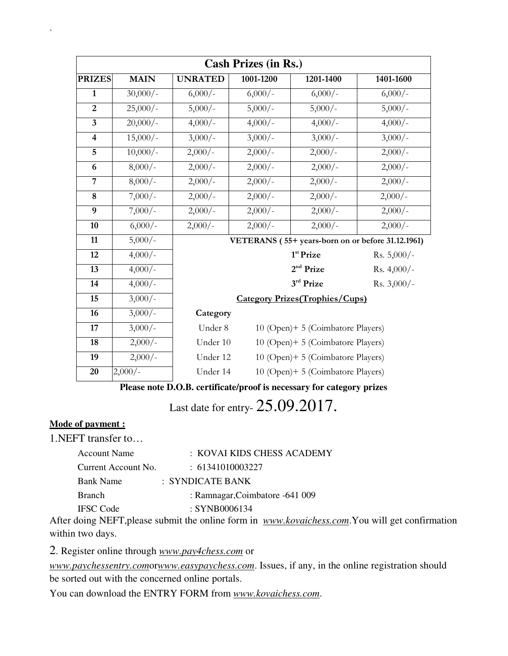| <b>Cash Prizes (in Rs.)</b>                                           |                                                             |                                               |                                                   |                                        |               |
|-----------------------------------------------------------------------|-------------------------------------------------------------|-----------------------------------------------|---------------------------------------------------|----------------------------------------|---------------|
| <b>PRIZES</b>                                                         | <b>MAIN</b>                                                 | <b>UNRATED</b>                                | 1001-1200                                         | 1201-1400                              | 1401-1600     |
| $\mathbf{1}$                                                          | $30,000/-$                                                  | $6,000/-$                                     | $6,000/-$                                         | $6,000/-$                              | $6,000/-$     |
| $\overline{2}$                                                        | $25,000/-$                                                  | $5,000/-$                                     | $5,000/-$                                         | $5,000/-$                              | $5,000/-$     |
| $\overline{\mathbf{3}}$                                               | $20,000/-$                                                  | $4,000/-$                                     | $4,000/-$                                         | $4,000/-$                              | $4,000/-$     |
| $\overline{\mathbf{4}}$                                               | $15,000/-$                                                  | $3,000/-$                                     | $3,000/-$                                         | $3,000/-$                              | $3,000/-$     |
| 5                                                                     | $10,000/-$                                                  | $2,000/-$                                     | $2,000/-$                                         | $2,000/-$                              | $2,000/-$     |
| 6                                                                     | $8,000/-$                                                   | $2,000/-$                                     | $2,000/-$                                         | $2,000/-$                              | $2,000/-$     |
| $\overline{7}$                                                        | $8,000/-$                                                   | $2,000/-$                                     | $2,000/-$                                         | $2,000/-$                              | $2,000/-$     |
| 8                                                                     | $7,000/-$                                                   | $2,000/-$                                     | $2,000/-$                                         | $2,000/-$                              | $2,000/-$     |
| 9                                                                     | $7,000/-$                                                   | $2,000/-$                                     | $2,000/-$                                         | $2,000/-$                              | $2,000/-$     |
| 10                                                                    | $6,000/-$                                                   | $2,000/-$                                     | $2,000/-$                                         | $2,000/-$                              | $2,000/-$     |
| 11                                                                    | $5,000/-$                                                   |                                               | VETERANS (55+ years-born on or before 31.12.1961) |                                        |               |
| 12                                                                    | $4,000/-$                                                   |                                               |                                                   | 1 <sup>st</sup> Prize                  | Rs. 5,000/-   |
| 13                                                                    | $4,000/-$                                                   |                                               |                                                   | 2 <sup>nd</sup> Prize                  | Rs. $4,000/-$ |
| 14                                                                    | $4,000/-$                                                   |                                               |                                                   | 3rd Prize                              | Rs. $3,000/-$ |
| 15                                                                    | $3,000/-$                                                   |                                               |                                                   | <b>Category Prizes (Trophies/Cups)</b> |               |
| 16                                                                    | $3,000/-$                                                   | Category                                      |                                                   |                                        |               |
| 17                                                                    | $3,000/-$                                                   | Under 8<br>10 (Open)+ 5 (Coimbatore Players)  |                                                   |                                        |               |
| 18                                                                    | $2,000/-$                                                   | Under 10<br>10 (Open)+ 5 (Coimbatore Players) |                                                   |                                        |               |
| 19                                                                    | $2,000/-$                                                   | Under 12                                      |                                                   | 10 (Open)+ 5 (Coimbatore Players)      |               |
| 20                                                                    | $2,000/-$                                                   | Under 14                                      |                                                   | 10 (Open)+ 5 (Coimbatore Players)      |               |
| Please note D.O.B. certificate/proof is necessary for category prizes |                                                             |                                               |                                                   |                                        |               |
|                                                                       | $\bigcap$ $\bigcap$ $\bigcap$ $\bigcap$ $\bigcap$ $\bigcap$ |                                               |                                                   |                                        |               |

Last date for entry- 25.09.2017.

#### **Mode of payment :**

 $\hat{\mathbf{v}}$ 

1.NEFT transfer to…

| Account Name        | : KOVAI KIDS CHESS ACADEMY      |  |
|---------------------|---------------------------------|--|
| Current Account No. | $\div$ 61341010003227           |  |
| <b>Bank Name</b>    | $\therefore$ SYNDICATE BANK     |  |
| <b>Branch</b>       | : Ramnagar, Coimbatore -641 009 |  |
| <b>IFSC</b> Code    | : SYNB0006134                   |  |
|                     |                                 |  |

After doing NEFT,please submit the online form in *www.kovaichess.com*.You will get confirmation within two days.

2. Register online through *www.pay4chess.com* or

*www.paychessentry.com*or*www.easypaychess.com*. Issues, if any, in the online registration should be sorted out with the concerned online portals.

You can download the ENTRY FORM from *www.kovaichess.com*.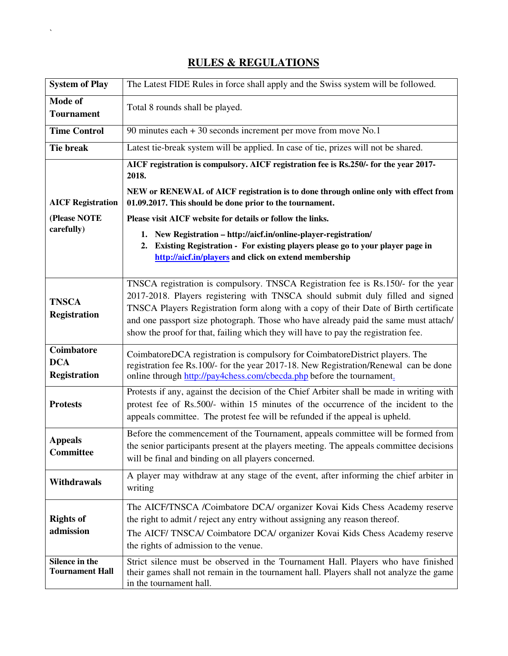#### **RULES & REGULATIONS**

 $\Delta \sim 10^{11}$  m  $^{-1}$ 

| <b>System of Play</b>                           | The Latest FIDE Rules in force shall apply and the Swiss system will be followed.                                                                                                                                                                                                                                                                                                                                                        |  |
|-------------------------------------------------|------------------------------------------------------------------------------------------------------------------------------------------------------------------------------------------------------------------------------------------------------------------------------------------------------------------------------------------------------------------------------------------------------------------------------------------|--|
| Mode of<br><b>Tournament</b>                    | Total 8 rounds shall be played.                                                                                                                                                                                                                                                                                                                                                                                                          |  |
| <b>Time Control</b>                             | 90 minutes each $+30$ seconds increment per move from move No.1                                                                                                                                                                                                                                                                                                                                                                          |  |
| <b>Tie break</b>                                | Latest tie-break system will be applied. In case of tie, prizes will not be shared.                                                                                                                                                                                                                                                                                                                                                      |  |
|                                                 | AICF registration is compulsory. AICF registration fee is Rs.250/- for the year 2017-<br>2018.                                                                                                                                                                                                                                                                                                                                           |  |
| <b>AICF Registration</b>                        | NEW or RENEWAL of AICF registration is to done through online only with effect from<br>01.09.2017. This should be done prior to the tournament.                                                                                                                                                                                                                                                                                          |  |
| (Please NOTE                                    | Please visit AICF website for details or follow the links.                                                                                                                                                                                                                                                                                                                                                                               |  |
| carefully)                                      | 1. New Registration - http://aicf.in/online-player-registration/<br>Existing Registration - For existing players please go to your player page in<br>2.<br>http://aicf.in/players and click on extend membership                                                                                                                                                                                                                         |  |
| <b>TNSCA</b><br><b>Registration</b>             | TNSCA registration is compulsory. TNSCA Registration fee is Rs.150/- for the year<br>2017-2018. Players registering with TNSCA should submit duly filled and signed<br>TNSCA Players Registration form along with a copy of their Date of Birth certificate<br>and one passport size photograph. Those who have already paid the same must attach/<br>show the proof for that, failing which they will have to pay the registration fee. |  |
| Coimbatore<br><b>DCA</b><br><b>Registration</b> | CoimbatoreDCA registration is compulsory for CoimbatoreDistrict players. The<br>registration fee Rs.100/- for the year 2017-18. New Registration/Renewal can be done<br>online through http://pay4chess.com/cbecda.php before the tournament.                                                                                                                                                                                            |  |
| <b>Protests</b>                                 | Protests if any, against the decision of the Chief Arbiter shall be made in writing with<br>protest fee of Rs.500/- within 15 minutes of the occurrence of the incident to the<br>appeals committee. The protest fee will be refunded if the appeal is upheld.                                                                                                                                                                           |  |
| <b>Appeals</b><br><b>Committee</b>              | Before the commencement of the Tournament, appeals committee will be formed from<br>the senior participants present at the players meeting. The appeals committee decisions<br>will be final and binding on all players concerned.                                                                                                                                                                                                       |  |
| <b>Withdrawals</b>                              | A player may withdraw at any stage of the event, after informing the chief arbiter in<br>writing                                                                                                                                                                                                                                                                                                                                         |  |
| <b>Rights of</b><br>admission                   | The AICF/TNSCA /Coimbatore DCA/ organizer Kovai Kids Chess Academy reserve<br>the right to admit / reject any entry without assigning any reason thereof.<br>The AICF/TNSCA/ Coimbatore DCA/ organizer Kovai Kids Chess Academy reserve<br>the rights of admission to the venue.                                                                                                                                                         |  |
| Silence in the<br><b>Tournament Hall</b>        | Strict silence must be observed in the Tournament Hall. Players who have finished<br>their games shall not remain in the tournament hall. Players shall not analyze the game<br>in the tournament hall.                                                                                                                                                                                                                                  |  |